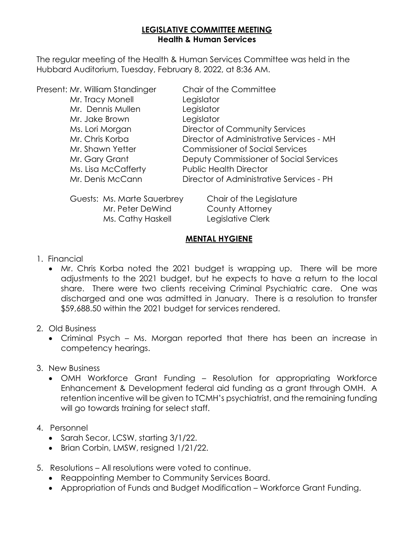### **LEGISLATIVE COMMITTEE MEETING Health & Human Services**

The regular meeting of the Health & Human Services Committee was held in the Hubbard Auditorium, Tuesday, February 8, 2022, at 8:36 AM.

| Present: Mr. William Standinger | Chair of the Committee                   |
|---------------------------------|------------------------------------------|
| Mr. Tracy Monell                | Legislator                               |
| Mr. Dennis Mullen               | Legislator                               |
| Mr. Jake Brown                  | Legislator                               |
| Ms. Lori Morgan                 | Director of Community Services           |
| Mr. Chris Korba                 | Director of Administrative Services - MH |
| Mr. Shawn Yetter                | <b>Commissioner of Social Services</b>   |
| Mr. Gary Grant                  | Deputy Commissioner of Social Services   |
| Ms. Lisa McCafferty             | <b>Public Health Director</b>            |
| Mr. Denis McCann                | Director of Administrative Services - PH |
|                                 |                                          |

| Guests: Ms. Marte Sauerbrey | Chair of the Legislature |
|-----------------------------|--------------------------|
| Mr. Peter DeWind            | County Attorney          |
| Ms. Cathy Haskell           | Legislative Clerk        |

#### **MENTAL HYGIENE**

- 1. Financial
	- Mr. Chris Korba noted the 2021 budget is wrapping up. There will be more adjustments to the 2021 budget, but he expects to have a return to the local share. There were two clients receiving Criminal Psychiatric care. One was discharged and one was admitted in January. There is a resolution to transfer \$59,688.50 within the 2021 budget for services rendered.
- 2. Old Business
	- Criminal Psych Ms. Morgan reported that there has been an increase in competency hearings.
- 3. New Business
	- OMH Workforce Grant Funding Resolution for appropriating Workforce Enhancement & Development federal aid funding as a grant through OMH. A retention incentive will be given to TCMH's psychiatrist, and the remaining funding will go towards training for select staff.
- 4. Personnel
	- Sarah Secor, LCSW, starting 3/1/22.
	- Brian Corbin, LMSW, resigned 1/21/22.
- 5. Resolutions All resolutions were voted to continue.
	- Reappointing Member to Community Services Board.
	- Appropriation of Funds and Budget Modification Workforce Grant Funding.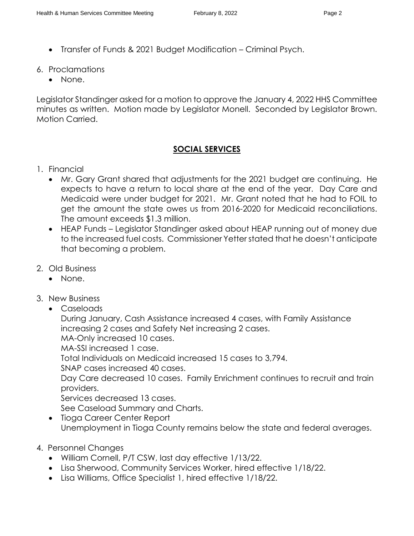- Transfer of Funds & 2021 Budget Modification Criminal Psych.
- 6. Proclamations
	- None.

Legislator Standinger asked for a motion to approve the January 4, 2022 HHS Committee minutes as written. Motion made by Legislator Monell. Seconded by Legislator Brown. Motion Carried.

#### **SOCIAL SERVICES**

- 1. Financial
	- Mr. Gary Grant shared that adjustments for the 2021 budget are continuing. He expects to have a return to local share at the end of the year. Day Care and Medicaid were under budget for 2021. Mr. Grant noted that he had to FOIL to get the amount the state owes us from 2016-2020 for Medicaid reconciliations. The amount exceeds \$1.3 million.
	- HEAP Funds Legislator Standinger asked about HEAP running out of money due to the increased fuel costs. Commissioner Yetter stated that he doesn't anticipate that becoming a problem.
- 2. Old Business
	- None.
- 3. New Business
	- Caseloads

During January, Cash Assistance increased 4 cases, with Family Assistance increasing 2 cases and Safety Net increasing 2 cases.

MA-Only increased 10 cases.

MA-SSI increased 1 case.

Total Individuals on Medicaid increased 15 cases to 3,794.

SNAP cases increased 40 cases.

Day Care decreased 10 cases. Family Enrichment continues to recruit and train providers.

Services decreased 13 cases.

See Caseload Summary and Charts.

- Tioga Career Center Report Unemployment in Tioga County remains below the state and federal averages.
- 4. Personnel Changes
	- William Cornell, P/T CSW, last day effective 1/13/22.
	- Lisa Sherwood, Community Services Worker, hired effective 1/18/22.
	- Lisa Williams, Office Specialist 1, hired effective 1/18/22.